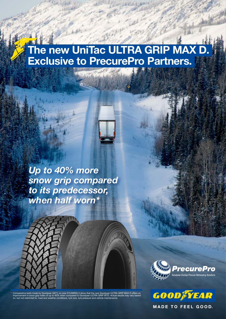# The new UniTac ULTRA GRIP MAX D Exclusive to PrecurePro Partners.



Up to 40% more snow grip compared to its predecessor, when half worn\*



\* Comparative tests made by Goodyear GIC\*L on size 315/80R22.5 show that the new Goodyear ULTRA GRIP MAX D offers an improvement in snow grip index of up to 40% when compared to Goodyear ULTRA GRIP WTD. Actual results may vary based on, but not restricted to, road and weather conditions, tyre size, tyre pressure and vehicle maintenance.





**MADE TO FEEL GOOD.**